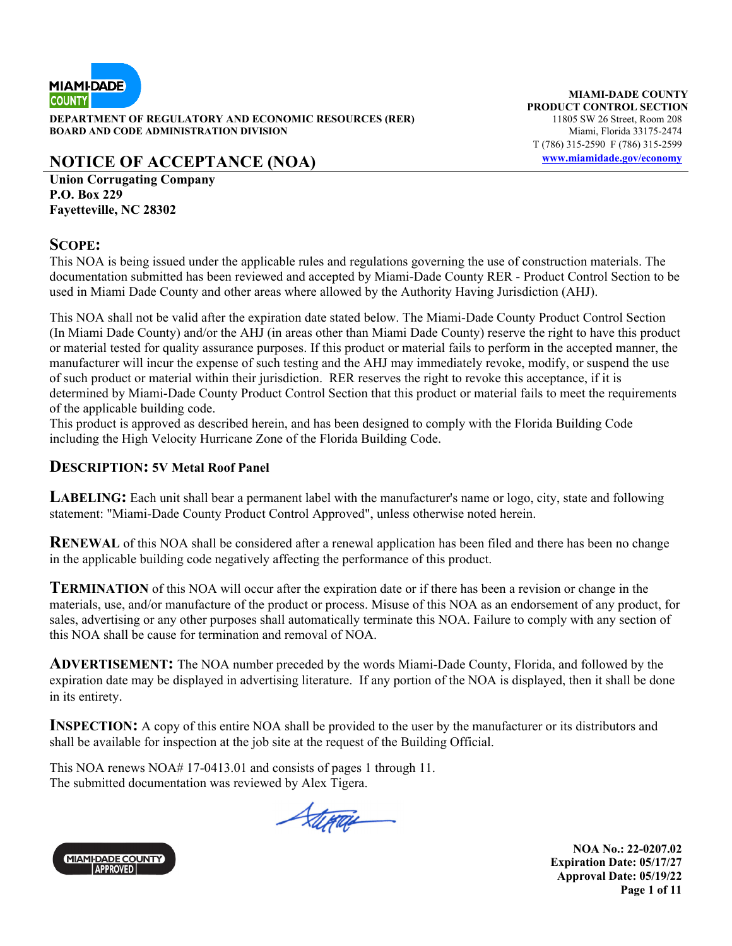

**DEPARTMENT OF REGULATORY AND ECONOMIC RESOURCES (RER)** 11805 SW 26 Street, Room 208 **BOARD AND CODE ADMINISTRATION DIVISION Miami, Florida 33175-2474** 

# **NOTICE OF ACCEPTANCE (NOA) www.miamidade.gov/economy**

**Union Corrugating Company P.O. Box 229 Fayetteville, NC 28302** 

#### **SCOPE:**

This NOA is being issued under the applicable rules and regulations governing the use of construction materials. The documentation submitted has been reviewed and accepted by Miami-Dade County RER - Product Control Section to be used in Miami Dade County and other areas where allowed by the Authority Having Jurisdiction (AHJ).

This NOA shall not be valid after the expiration date stated below. The Miami-Dade County Product Control Section (In Miami Dade County) and/or the AHJ (in areas other than Miami Dade County) reserve the right to have this product or material tested for quality assurance purposes. If this product or material fails to perform in the accepted manner, the manufacturer will incur the expense of such testing and the AHJ may immediately revoke, modify, or suspend the use of such product or material within their jurisdiction. RER reserves the right to revoke this acceptance, if it is determined by Miami-Dade County Product Control Section that this product or material fails to meet the requirements of the applicable building code.

This product is approved as described herein, and has been designed to comply with the Florida Building Code including the High Velocity Hurricane Zone of the Florida Building Code.

#### **DESCRIPTION: 5V Metal Roof Panel**

LABELING: Each unit shall bear a permanent label with the manufacturer's name or logo, city, state and following statement: "Miami-Dade County Product Control Approved", unless otherwise noted herein.

**RENEWAL** of this NOA shall be considered after a renewal application has been filed and there has been no change in the applicable building code negatively affecting the performance of this product.

**TERMINATION** of this NOA will occur after the expiration date or if there has been a revision or change in the materials, use, and/or manufacture of the product or process. Misuse of this NOA as an endorsement of any product, for sales, advertising or any other purposes shall automatically terminate this NOA. Failure to comply with any section of this NOA shall be cause for termination and removal of NOA.

**ADVERTISEMENT:** The NOA number preceded by the words Miami-Dade County, Florida, and followed by the expiration date may be displayed in advertising literature. If any portion of the NOA is displayed, then it shall be done in its entirety.

**INSPECTION:** A copy of this entire NOA shall be provided to the user by the manufacturer or its distributors and shall be available for inspection at the job site at the request of the Building Official.

This NOA renews NOA# 17-0413.01 and consists of pages 1 through 11. The submitted documentation was reviewed by Alex Tigera.

Stepais



**NOA No.: 22-0207.02 Expiration Date: 05/17/27 Approval Date: 05/19/22 Page 1 of 11** 

**MIAMI-DADE COUNTY PRODUCT CONTROL SECTION** T (786) 315-2590 F (786) 315-2599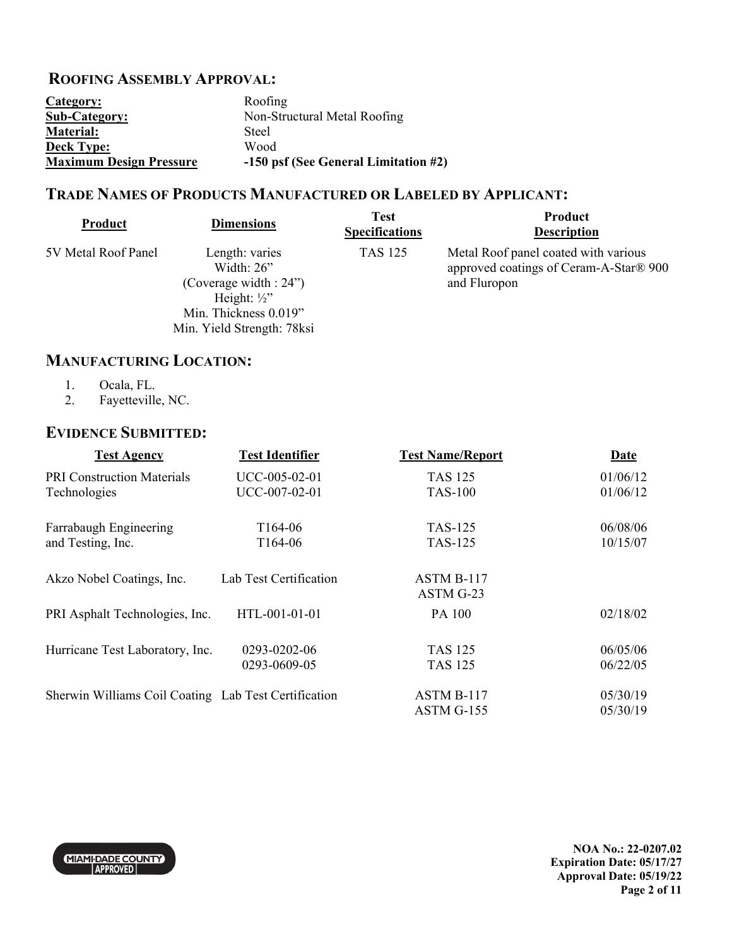# **ROOFING ASSEMBLY APPROVAL:**

| Category:                      | Roofing                              |
|--------------------------------|--------------------------------------|
| <b>Sub-Category:</b>           | Non-Structural Metal Roofing         |
| Material:                      | Steel                                |
| <b>Deck Type:</b>              | Wood                                 |
| <b>Maximum Design Pressure</b> | -150 psf (See General Limitation #2) |

Min. Yield Strength: 78ksi

## **TRADE NAMES OF PRODUCTS MANUFACTURED OR LABELED BY APPLICANT:**

| Product             | <b>Dimensions</b>                                            | <b>Test</b><br><b>Specifications</b> | Product<br><b>Description</b>                                                                  |
|---------------------|--------------------------------------------------------------|--------------------------------------|------------------------------------------------------------------------------------------------|
| 5V Metal Roof Panel | Length: varies<br>Width: $26$ "<br>(Coverage width : $24$ ") | <b>TAS 125</b>                       | Metal Roof panel coated with various<br>approved coatings of Ceram-A-Star® 900<br>and Fluropon |
|                     | Height: $\frac{1}{2}$<br>Min. Thickness 0.019"               |                                      |                                                                                                |

#### **MANUFACTURING LOCATION:**

- 1. Ocala, FL.<br>2. Fayetteville
- Fayetteville, NC.

### **EVIDENCE SUBMITTED:**

| <b>Test Agency</b>                                   | <b>Test Identifier</b> | <b>Test Name/Report</b> | <b>Date</b> |
|------------------------------------------------------|------------------------|-------------------------|-------------|
| <b>PRI Construction Materials</b>                    | UCC-005-02-01          | <b>TAS 125</b>          | 01/06/12    |
| Technologies                                         | UCC-007-02-01          | <b>TAS-100</b>          | 01/06/12    |
| Farrabaugh Engineering                               | T <sub>164</sub> -06   | <b>TAS-125</b>          | 06/08/06    |
| and Testing, Inc.                                    | T164-06                | <b>TAS-125</b>          | 10/15/07    |
| Akzo Nobel Coatings, Inc.                            | Lab Test Certification | ASTM B-117              |             |
|                                                      |                        | ASTM G-23               |             |
| PRI Asphalt Technologies, Inc.                       | HTL-001-01-01          | PA 100                  | 02/18/02    |
| Hurricane Test Laboratory, Inc.                      | 0293-0202-06           | <b>TAS 125</b>          | 06/05/06    |
|                                                      | 0293-0609-05           | <b>TAS 125</b>          | 06/22/05    |
| Sherwin Williams Coil Coating Lab Test Certification |                        | ASTM B-117              | 05/30/19    |
|                                                      |                        | ASTM G-155              | 05/30/19    |



**NOA No.: 22-0207.02 Expiration Date: 05/17/27 Approval Date: 05/19/22 Page 2 of 11**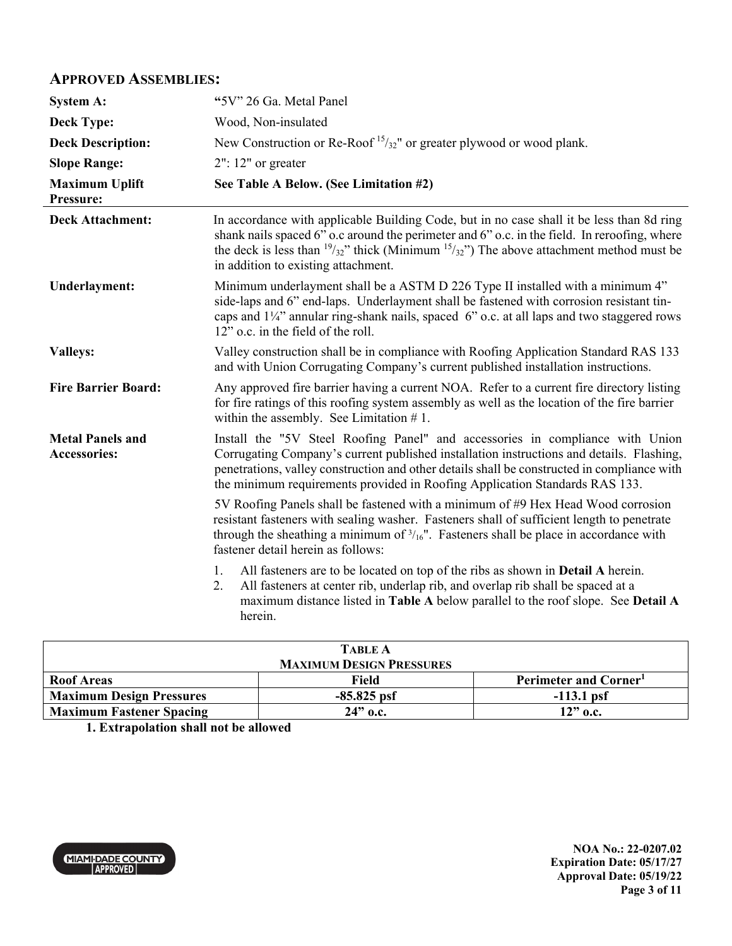### **APPROVED ASSEMBLIES:**

| <b>System A:</b>                        | "5V" 26 Ga. Metal Panel                                                                                                                                                                                                                                                                                                                                 |
|-----------------------------------------|---------------------------------------------------------------------------------------------------------------------------------------------------------------------------------------------------------------------------------------------------------------------------------------------------------------------------------------------------------|
| <b>Deck Type:</b>                       | Wood, Non-insulated                                                                                                                                                                                                                                                                                                                                     |
| <b>Deck Description:</b>                | New Construction or Re-Roof <sup>15</sup> / <sub>32</sub> " or greater plywood or wood plank.                                                                                                                                                                                                                                                           |
| <b>Slope Range:</b>                     | $2"$ : 12" or greater                                                                                                                                                                                                                                                                                                                                   |
| <b>Maximum Uplift</b><br>Pressure:      | See Table A Below. (See Limitation #2)                                                                                                                                                                                                                                                                                                                  |
| <b>Deck Attachment:</b>                 | In accordance with applicable Building Code, but in no case shall it be less than 8d ring<br>shank nails spaced 6" o.c around the perimeter and 6" o.c. in the field. In reroofing, where<br>the deck is less than $\frac{19}{32}$ " thick (Minimum $\frac{15}{32}$ ") The above attachment method must be<br>in addition to existing attachment.       |
| <b>Underlayment:</b>                    | Minimum underlayment shall be a ASTM D 226 Type II installed with a minimum 4"<br>side-laps and 6" end-laps. Underlayment shall be fastened with corrosion resistant tin-<br>caps and 11/4" annular ring-shank nails, spaced 6" o.c. at all laps and two staggered rows<br>12" o.c. in the field of the roll.                                           |
| <b>Valleys:</b>                         | Valley construction shall be in compliance with Roofing Application Standard RAS 133<br>and with Union Corrugating Company's current published installation instructions.                                                                                                                                                                               |
| <b>Fire Barrier Board:</b>              | Any approved fire barrier having a current NOA. Refer to a current fire directory listing<br>for fire ratings of this roofing system assembly as well as the location of the fire barrier<br>within the assembly. See Limitation $# 1$ .                                                                                                                |
| <b>Metal Panels and</b><br>Accessories: | Install the "5V Steel Roofing Panel" and accessories in compliance with Union<br>Corrugating Company's current published installation instructions and details. Flashing,<br>penetrations, valley construction and other details shall be constructed in compliance with<br>the minimum requirements provided in Roofing Application Standards RAS 133. |
|                                         | 5V Roofing Panels shall be fastened with a minimum of #9 Hex Head Wood corrosion<br>resistant fasteners with sealing washer. Fasteners shall of sufficient length to penetrate<br>through the sheathing a minimum of $\frac{3}{16}$ ". Fasteners shall be place in accordance with<br>fastener detail herein as follows:                                |
|                                         | All fasteners are to be located on top of the ribs as shown in <b>Detail A</b> herein.<br>1.<br>All fasteners at center rib, underlap rib, and overlap rib shall be spaced at a<br>2.<br>maximum distance listed in Table A below parallel to the roof slope. See Detail A<br>herein.                                                                   |

| <b>TABLE A</b><br><b>MAXIMUM DESIGN PRESSURES</b> |               |                                   |  |
|---------------------------------------------------|---------------|-----------------------------------|--|
| <b>Roof Areas</b>                                 | Field         | Perimeter and Corner <sup>1</sup> |  |
| <b>Maximum Design Pressures</b>                   | $-85.825$ psf | $-113.1$ psf                      |  |
| <b>Maximum Fastener Spacing</b>                   | $24"$ o.c.    | $12"$ o.c.                        |  |

**1. Extrapolation shall not be allowed**

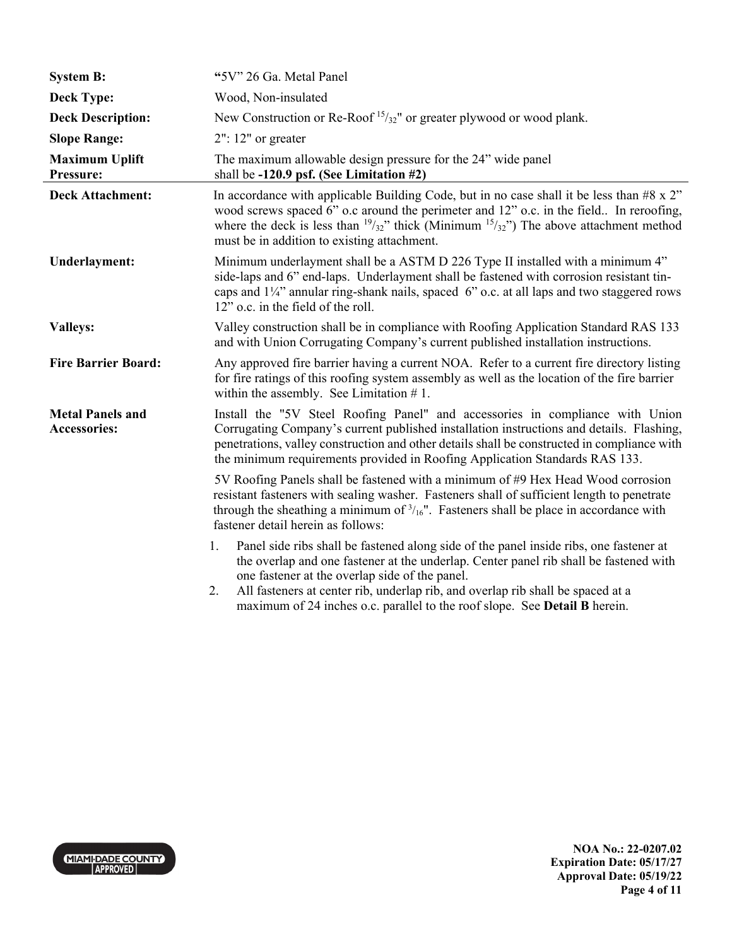| <b>System B:</b>                               | "5V" 26 Ga. Metal Panel                                                                                                                                                                                                                                                                                                                                                                                        |
|------------------------------------------------|----------------------------------------------------------------------------------------------------------------------------------------------------------------------------------------------------------------------------------------------------------------------------------------------------------------------------------------------------------------------------------------------------------------|
| <b>Deck Type:</b>                              | Wood, Non-insulated                                                                                                                                                                                                                                                                                                                                                                                            |
| <b>Deck Description:</b>                       | New Construction or Re-Roof $15/32$ " or greater plywood or wood plank.                                                                                                                                                                                                                                                                                                                                        |
| <b>Slope Range:</b>                            | $2"$ : 12" or greater                                                                                                                                                                                                                                                                                                                                                                                          |
| <b>Maximum Uplift</b><br>Pressure:             | The maximum allowable design pressure for the 24" wide panel<br>shall be $-120.9$ psf. (See Limitation #2)                                                                                                                                                                                                                                                                                                     |
| <b>Deck Attachment:</b>                        | In accordance with applicable Building Code, but in no case shall it be less than $#8 \times 2"$<br>wood screws spaced 6" o.c around the perimeter and 12" o.c. in the field In reroofing,<br>where the deck is less than $\frac{19}{32}$ " thick (Minimum $\frac{15}{32}$ ") The above attachment method<br>must be in addition to existing attachment.                                                       |
| <b>Underlayment:</b>                           | Minimum underlayment shall be a ASTM D 226 Type II installed with a minimum 4"<br>side-laps and 6" end-laps. Underlayment shall be fastened with corrosion resistant tin-<br>caps and 11/4" annular ring-shank nails, spaced 6" o.c. at all laps and two staggered rows<br>12" o.c. in the field of the roll.                                                                                                  |
| <b>Valleys:</b>                                | Valley construction shall be in compliance with Roofing Application Standard RAS 133<br>and with Union Corrugating Company's current published installation instructions.                                                                                                                                                                                                                                      |
| <b>Fire Barrier Board:</b>                     | Any approved fire barrier having a current NOA. Refer to a current fire directory listing<br>for fire ratings of this roofing system assembly as well as the location of the fire barrier<br>within the assembly. See Limitation $# 1$ .                                                                                                                                                                       |
| <b>Metal Panels and</b><br><b>Accessories:</b> | Install the "5V Steel Roofing Panel" and accessories in compliance with Union<br>Corrugating Company's current published installation instructions and details. Flashing,<br>penetrations, valley construction and other details shall be constructed in compliance with<br>the minimum requirements provided in Roofing Application Standards RAS 133.                                                        |
|                                                | 5V Roofing Panels shall be fastened with a minimum of #9 Hex Head Wood corrosion<br>resistant fasteners with sealing washer. Fasteners shall of sufficient length to penetrate<br>through the sheathing a minimum of $\frac{3}{16}$ ". Fasteners shall be place in accordance with<br>fastener detail herein as follows:                                                                                       |
|                                                | Panel side ribs shall be fastened along side of the panel inside ribs, one fastener at<br>1.<br>the overlap and one fastener at the underlap. Center panel rib shall be fastened with<br>one fastener at the overlap side of the panel.<br>All fasteners at center rib, underlap rib, and overlap rib shall be spaced at a<br>2.<br>maximum of 24 inches o.c. parallel to the roof slope. See Detail B herein. |



**NOA No.: 22-0207.02 Expiration Date: 05/17/27 Approval Date: 05/19/22 Page 4 of 11**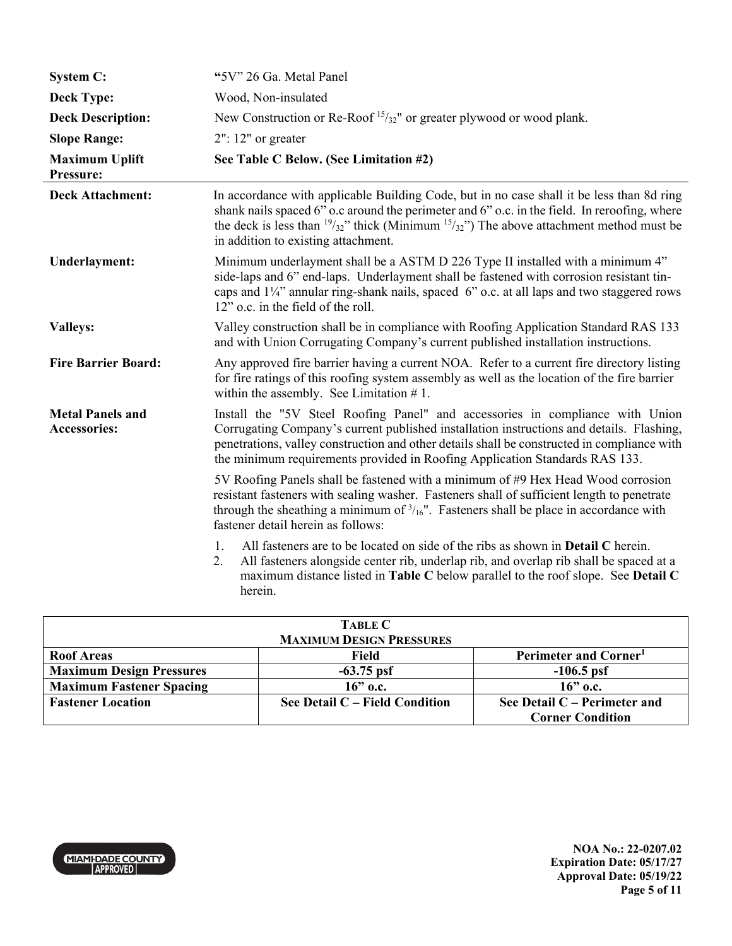| <b>System C:</b>                               | "5V" 26 Ga. Metal Panel                                                                                                                                                                                                                                                                                                                                 |
|------------------------------------------------|---------------------------------------------------------------------------------------------------------------------------------------------------------------------------------------------------------------------------------------------------------------------------------------------------------------------------------------------------------|
| <b>Deck Type:</b>                              | Wood, Non-insulated                                                                                                                                                                                                                                                                                                                                     |
| <b>Deck Description:</b>                       | New Construction or Re-Roof <sup>15</sup> / <sub>32</sub> " or greater plywood or wood plank.                                                                                                                                                                                                                                                           |
| <b>Slope Range:</b>                            | $2"$ : 12" or greater                                                                                                                                                                                                                                                                                                                                   |
| <b>Maximum Uplift</b><br>Pressure:             | See Table C Below. (See Limitation #2)                                                                                                                                                                                                                                                                                                                  |
| <b>Deck Attachment:</b>                        | In accordance with applicable Building Code, but in no case shall it be less than 8d ring<br>shank nails spaced 6" o.c around the perimeter and 6" o.c. in the field. In reroofing, where<br>the deck is less than $\frac{19}{32}$ " thick (Minimum $\frac{15}{32}$ ") The above attachment method must be<br>in addition to existing attachment.       |
| <b>Underlayment:</b>                           | Minimum underlayment shall be a ASTM D 226 Type II installed with a minimum 4"<br>side-laps and 6" end-laps. Underlayment shall be fastened with corrosion resistant tin-<br>caps and 11/4" annular ring-shank nails, spaced 6" o.c. at all laps and two staggered rows<br>12" o.c. in the field of the roll.                                           |
| <b>Valleys:</b>                                | Valley construction shall be in compliance with Roofing Application Standard RAS 133<br>and with Union Corrugating Company's current published installation instructions.                                                                                                                                                                               |
| <b>Fire Barrier Board:</b>                     | Any approved fire barrier having a current NOA. Refer to a current fire directory listing<br>for fire ratings of this roofing system assembly as well as the location of the fire barrier<br>within the assembly. See Limitation $# 1$ .                                                                                                                |
| <b>Metal Panels and</b><br><b>Accessories:</b> | Install the "5V Steel Roofing Panel" and accessories in compliance with Union<br>Corrugating Company's current published installation instructions and details. Flashing,<br>penetrations, valley construction and other details shall be constructed in compliance with<br>the minimum requirements provided in Roofing Application Standards RAS 133. |
|                                                | 5V Roofing Panels shall be fastened with a minimum of #9 Hex Head Wood corrosion<br>resistant fasteners with sealing washer. Fasteners shall of sufficient length to penetrate<br>through the sheathing a minimum of $\frac{3}{16}$ . Fasteners shall be place in accordance with<br>fastener detail herein as follows:                                 |
|                                                | All fasteners are to be located on side of the ribs as shown in <b>Detail C</b> herein.<br>1.<br>2.<br>All fasteners alongside center rib, underlap rib, and overlap rib shall be spaced at a<br>maximum distance listed in Table C below parallel to the roof slope. See Detail C<br>herein.                                                           |

| <b>TABLE C</b>                  |                                  |                                   |  |
|---------------------------------|----------------------------------|-----------------------------------|--|
| <b>MAXIMUM DESIGN PRESSURES</b> |                                  |                                   |  |
| <b>Roof Areas</b>               | Field                            | Perimeter and Corner <sup>1</sup> |  |
| <b>Maximum Design Pressures</b> | $-63.75$ psf                     | $-106.5$ psf                      |  |
| <b>Maximum Fastener Spacing</b> | $16$ " o.c.                      | $16$ " o.c.                       |  |
| <b>Fastener Location</b>        | See Detail $C$ – Field Condition | See Detail $C$ – Perimeter and    |  |
|                                 |                                  | <b>Corner Condition</b>           |  |

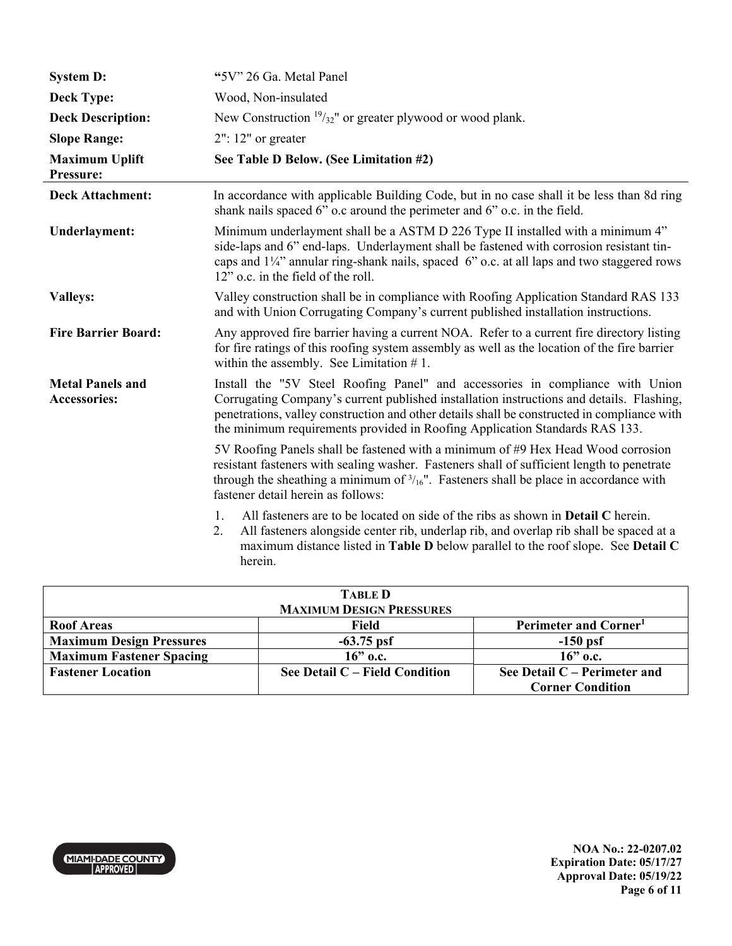| <b>System D:</b>                               | "5V" 26 Ga. Metal Panel                                                                                                                                                                                                                                                                                                                                 |
|------------------------------------------------|---------------------------------------------------------------------------------------------------------------------------------------------------------------------------------------------------------------------------------------------------------------------------------------------------------------------------------------------------------|
| <b>Deck Type:</b>                              | Wood, Non-insulated                                                                                                                                                                                                                                                                                                                                     |
| <b>Deck Description:</b>                       | New Construction $\frac{19}{32}$ " or greater plywood or wood plank.                                                                                                                                                                                                                                                                                    |
| <b>Slope Range:</b>                            | $2"$ : 12" or greater                                                                                                                                                                                                                                                                                                                                   |
| <b>Maximum Uplift</b><br>Pressure:             | See Table D Below. (See Limitation #2)                                                                                                                                                                                                                                                                                                                  |
| <b>Deck Attachment:</b>                        | In accordance with applicable Building Code, but in no case shall it be less than 8d ring<br>shank nails spaced 6" o.c around the perimeter and 6" o.c. in the field.                                                                                                                                                                                   |
| <b>Underlayment:</b>                           | Minimum underlayment shall be a ASTM D 226 Type II installed with a minimum 4"<br>side-laps and 6" end-laps. Underlayment shall be fastened with corrosion resistant tin-<br>caps and $1/4$ " annular ring-shank nails, spaced 6" o.c. at all laps and two staggered rows<br>12" o.c. in the field of the roll.                                         |
| <b>Valleys:</b>                                | Valley construction shall be in compliance with Roofing Application Standard RAS 133<br>and with Union Corrugating Company's current published installation instructions.                                                                                                                                                                               |
| <b>Fire Barrier Board:</b>                     | Any approved fire barrier having a current NOA. Refer to a current fire directory listing<br>for fire ratings of this roofing system assembly as well as the location of the fire barrier<br>within the assembly. See Limitation $# 1$ .                                                                                                                |
| <b>Metal Panels and</b><br><b>Accessories:</b> | Install the "5V Steel Roofing Panel" and accessories in compliance with Union<br>Corrugating Company's current published installation instructions and details. Flashing,<br>penetrations, valley construction and other details shall be constructed in compliance with<br>the minimum requirements provided in Roofing Application Standards RAS 133. |
|                                                | 5V Roofing Panels shall be fastened with a minimum of #9 Hex Head Wood corrosion<br>resistant fasteners with sealing washer. Fasteners shall of sufficient length to penetrate<br>through the sheathing a minimum of $\frac{3}{16}$ . Fasteners shall be place in accordance with<br>fastener detail herein as follows:                                 |
|                                                | All fasteners are to be located on side of the ribs as shown in <b>Detail C</b> herein.<br>1.<br>All fasteners alongside center rib, underlap rib, and overlap rib shall be spaced at a<br>2.<br>maximum distance listed in Table D below parallel to the roof slope. See Detail C<br>herein.                                                           |

| <b>TABLE D</b>                  |                                  |                                   |  |
|---------------------------------|----------------------------------|-----------------------------------|--|
| <b>MAXIMUM DESIGN PRESSURES</b> |                                  |                                   |  |
| <b>Roof Areas</b>               | Field                            | Perimeter and Corner <sup>1</sup> |  |
| <b>Maximum Design Pressures</b> | $-63.75$ psf                     | $-150$ psf                        |  |
| <b>Maximum Fastener Spacing</b> | $16$ " o.c.                      | $16$ " o.c.                       |  |
| <b>Fastener Location</b>        | See Detail $C$ – Field Condition | See Detail $C$ – Perimeter and    |  |
|                                 |                                  | <b>Corner Condition</b>           |  |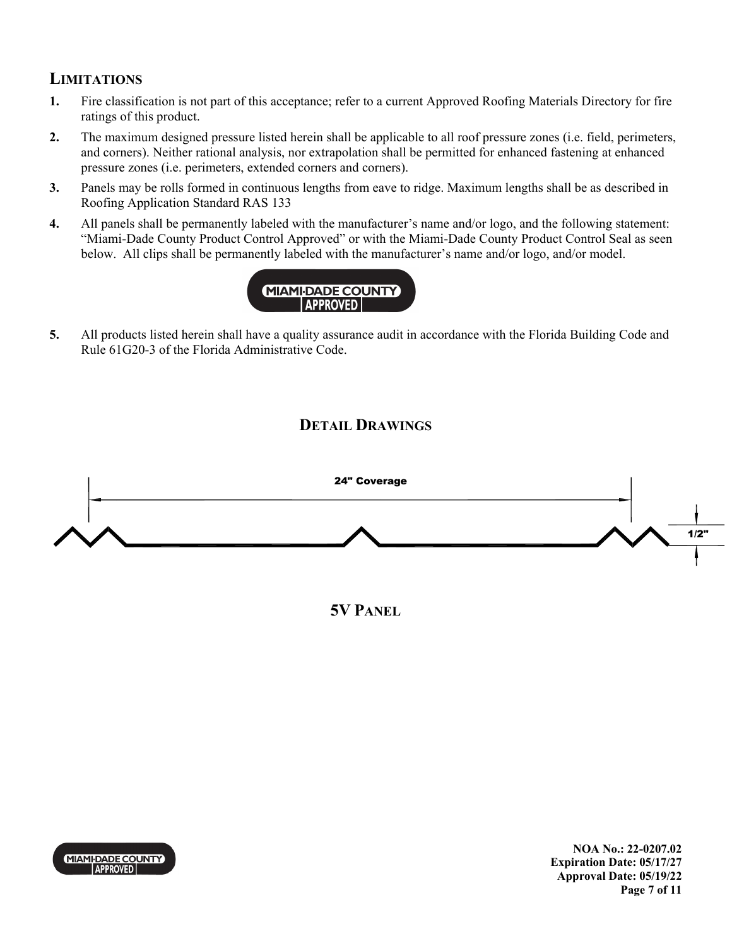## **LIMITATIONS**

- **1.** Fire classification is not part of this acceptance; refer to a current Approved Roofing Materials Directory for fire ratings of this product.
- **2.** The maximum designed pressure listed herein shall be applicable to all roof pressure zones (i.e. field, perimeters, and corners). Neither rational analysis, nor extrapolation shall be permitted for enhanced fastening at enhanced pressure zones (i.e. perimeters, extended corners and corners).
- **3.** Panels may be rolls formed in continuous lengths from eave to ridge. Maximum lengths shall be as described in Roofing Application Standard RAS 133
- **4.** All panels shall be permanently labeled with the manufacturer's name and/or logo, and the following statement: "Miami-Dade County Product Control Approved" or with the Miami-Dade County Product Control Seal as seen below. All clips shall be permanently labeled with the manufacturer's name and/or logo, and/or model.



**5.** All products listed herein shall have a quality assurance audit in accordance with the Florida Building Code and Rule 61G20-3 of the Florida Administrative Code.

## **DETAIL DRAWINGS**



**5V PANEL**



**NOA No.: 22-0207.02 Expiration Date: 05/17/27 Approval Date: 05/19/22 Page 7 of 11**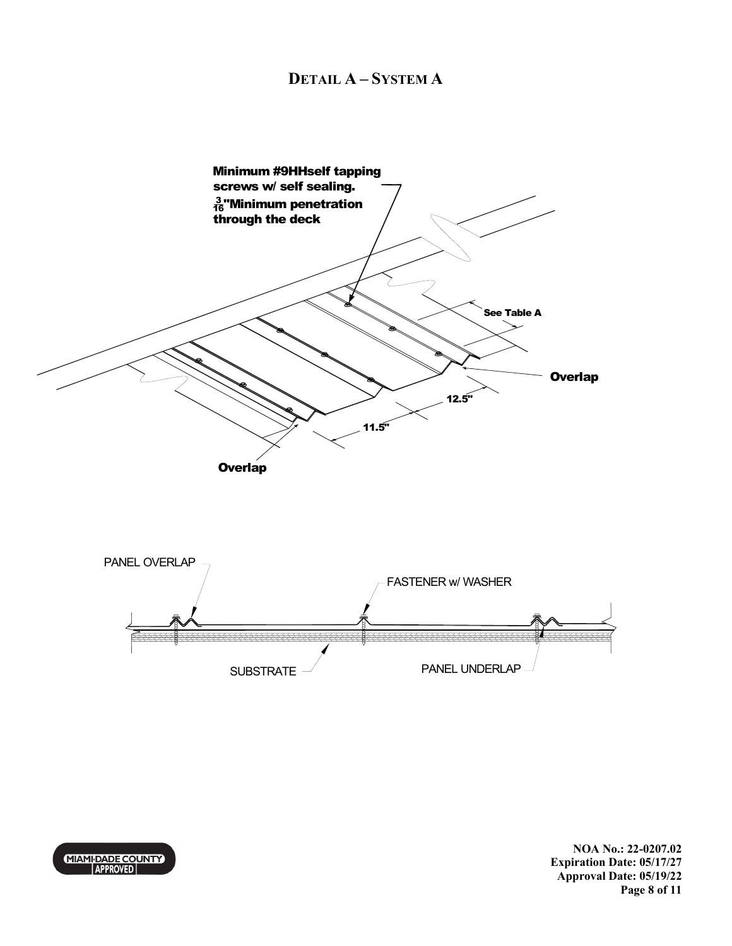### **DETAIL A – SYSTEM A**

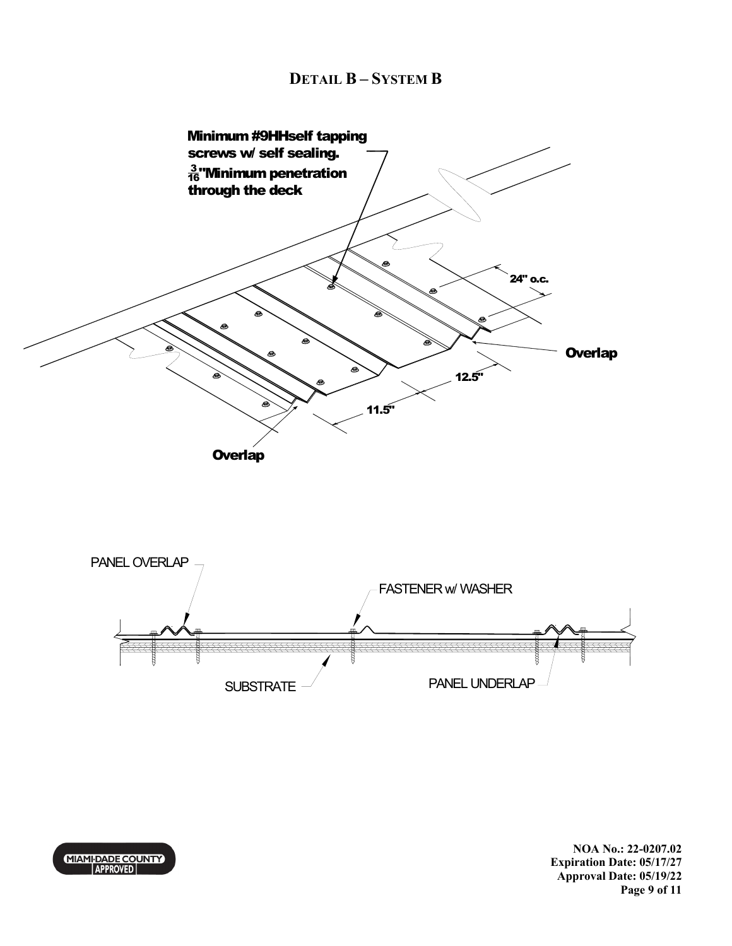

**NOA No.: 22-0207.02 Expiration Date: 05/17/27 Approval Date: 05/19/22 Page 9 of 11** 

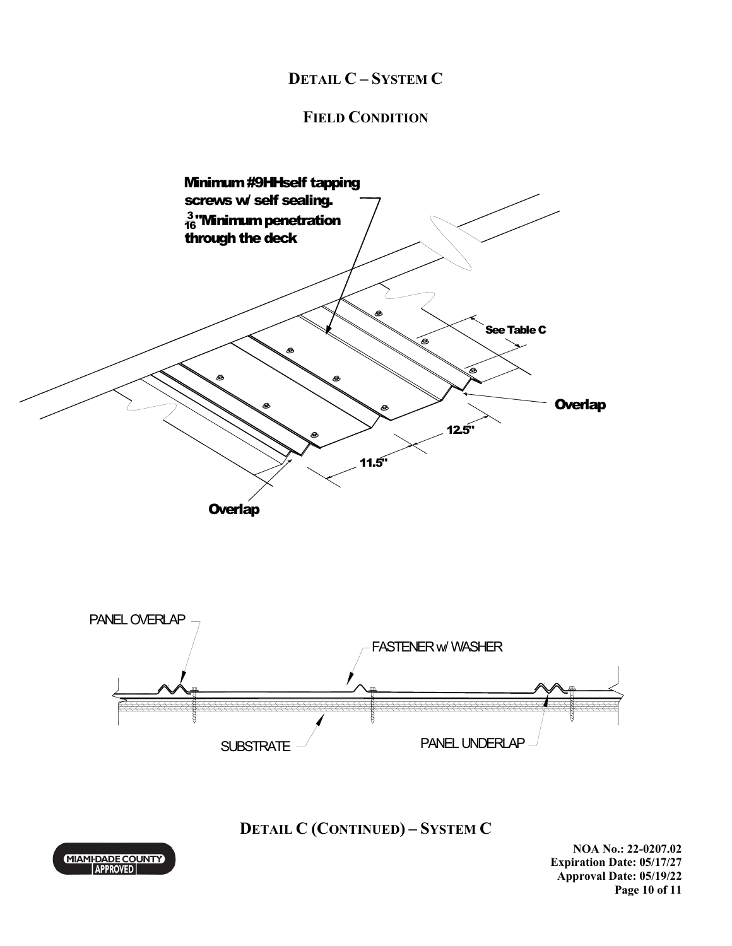# **DETAIL C – SYSTEM C**

## **FIELD CONDITION**



**DETAIL C (CONTINUED) – SYSTEM C** 



**NOA No.: 22-0207.02 Expiration Date: 05/17/27 Approval Date: 05/19/22 Page 10 of 11**